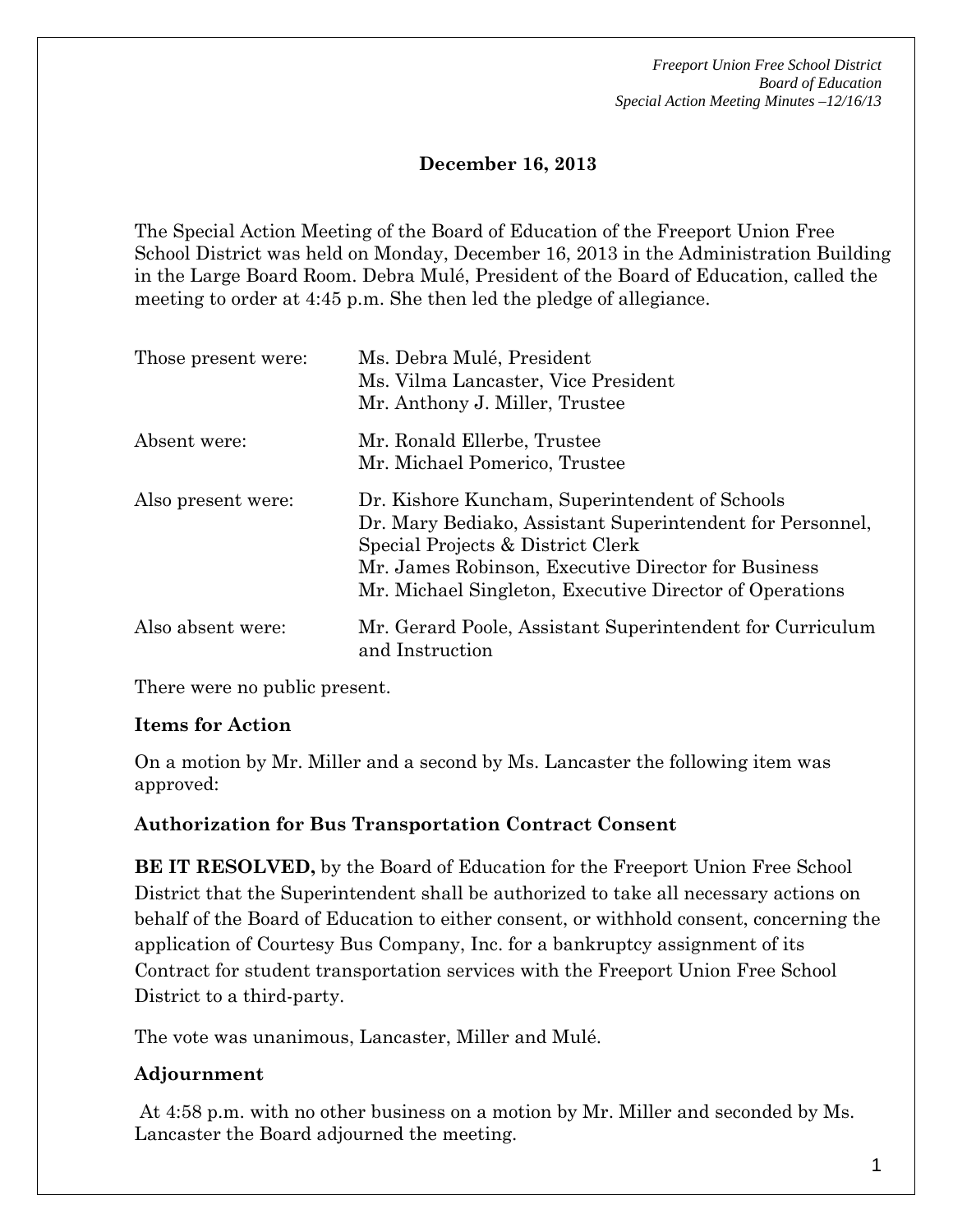*Freeport Union Free School District Board of Education Special Action Meeting Minutes –12/16/13*

# **December 16, 2013**

The Special Action Meeting of the Board of Education of the Freeport Union Free School District was held on Monday, December 16, 2013 in the Administration Building in the Large Board Room. Debra Mulé, President of the Board of Education, called the meeting to order at 4:45 p.m. She then led the pledge of allegiance.

| Those present were: | Ms. Debra Mulé, President<br>Ms. Vilma Lancaster, Vice President<br>Mr. Anthony J. Miller, Trustee                                                                                                                                                                 |
|---------------------|--------------------------------------------------------------------------------------------------------------------------------------------------------------------------------------------------------------------------------------------------------------------|
| Absent were:        | Mr. Ronald Ellerbe, Trustee<br>Mr. Michael Pomerico, Trustee                                                                                                                                                                                                       |
| Also present were:  | Dr. Kishore Kuncham, Superintendent of Schools<br>Dr. Mary Bediako, Assistant Superintendent for Personnel,<br>Special Projects & District Clerk<br>Mr. James Robinson, Executive Director for Business<br>Mr. Michael Singleton, Executive Director of Operations |
| Also absent were:   | Mr. Gerard Poole, Assistant Superintendent for Curriculum<br>and Instruction                                                                                                                                                                                       |

There were no public present.

### **Items for Action**

On a motion by Mr. Miller and a second by Ms. Lancaster the following item was approved:

# **Authorization for Bus Transportation Contract Consent**

**BE IT RESOLVED,** by the Board of Education for the Freeport Union Free School District that the Superintendent shall be authorized to take all necessary actions on behalf of the Board of Education to either consent, or withhold consent, concerning the application of Courtesy Bus Company, Inc. for a bankruptcy assignment of its Contract for student transportation services with the Freeport Union Free School District to a third-party.

The vote was unanimous, Lancaster, Miller and Mulé.

# **Adjournment**

At 4:58 p.m. with no other business on a motion by Mr. Miller and seconded by Ms. Lancaster the Board adjourned the meeting.